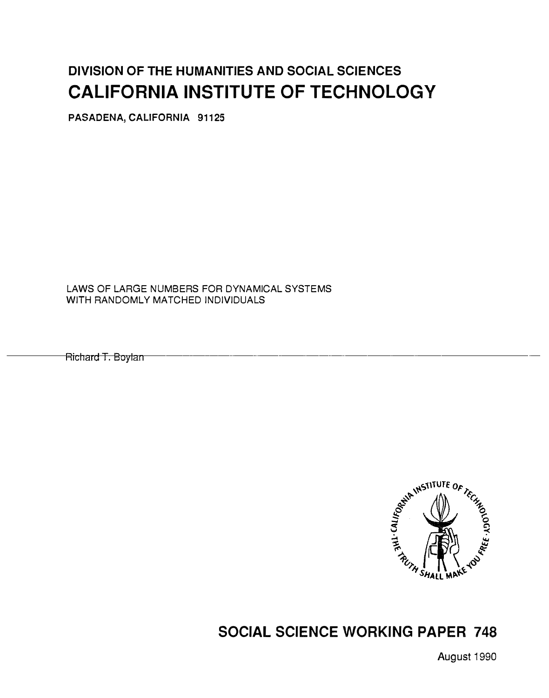# DIVISION OF THE HUMANITIES AND SOCIAL SCIENCES CALIFORNIA INSTITUTE OF TECHNOLOGY

PASADENA, CALIFORNIA 91125

LAWS OF LARGE NUMBERS FOR DYNAMICAL SYSTEMS WITH RANDOMLY MATCHED INDIVIDUALS

Ricl1a1d T . Boylan---------------------------



## SOCIAL SCIENCE WORKING PAPER 748

August 1990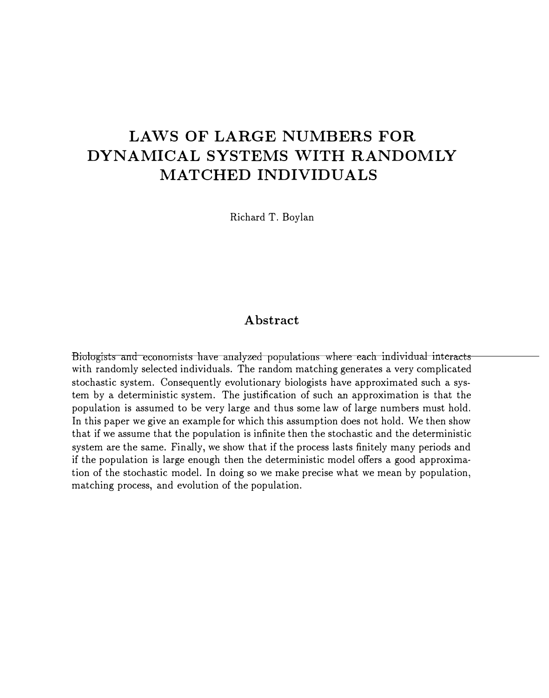# LAWS OF LARGE NUMBERS FOR DYNAMICAL SYSTEMS WITH RANDOMLY MATCHED INDIVIDUALS

Richard T. Boylan

#### Abstract

Biologists and economists have analyzed populations where each individual interacts with randomly selected individuals. The random matching generates a very complicated stochastic system. Consequently evolutionary biologists have approximated such a system by a deterministic system. The justification of such an approximation is that the population is assumed to be very large and thus some law of large numbers must hold. In this paper we give an example for which this assumption does not hold. We then show that if we assume that the population is infinite then the stochastic and the deterministic system are the same. Finally, we show that if the process lasts finitely many periods and if the population is large enough then the deterministic model offers a good approximation of the stochastic model. In doing so we make precise what we mean by population, matching process, and evolution of the population.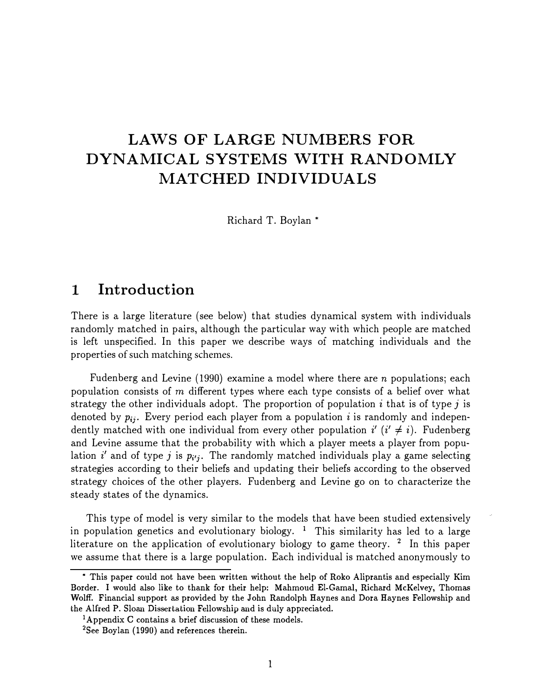# LAWS OF LARGE NUMBERS FOR DYNAMICAL SYSTEMS WITH RANDOMLY MATCHED INDIVIDUALS

Richard T. Boylan\*

### 1 Introduction

There is a large literature (see below) that studies dynamical system with individuals randomly matched in pairs, although the particular way with which people are matched is left unspecified. In this paper we describe ways oi matching individuals and the

**LAWS OF LARGE NUMBERS FOR DYNAMICAL SYSTEMS WITH RANDOMLY**<br> **MATCHED INDIVIDUALS**<br>
Richard T. Boylan \*<br>
Richard T. Boylan \*<br>
Richard T. Boylan \*<br> **There** is a large literature (see helice) that studies dynamical systems Fudenberg and Levine (1990) examine a model where there are n populations; each population consists of m different types where each type consists of a belief over what strategy the other individuals adopt. The proportion of population  $i$  that is of type  $j$  is denoted by  $p_{ij}$ . Every period each player from a population i is randomly and independently matched with one individual from every other population  $i'$  ( $i' \neq i$ ). Fudenberg and Levine assume that the probability with which a player meets a player from population i' and of type j is  $p_i$ . The randomly matched individuals play a game selecting strategies according to their beliefs and updating their beliefs according to the observed strategy choices of the other players. Fudenberg and Levine go on to characterize the steady states of the dynamics.

This type of model is very similar to the models that have been studied extensively in population genetics and evolutionary biology. <sup>1</sup> This similarity has led to a large literature on the application of evolutionary biology to game theory.<sup>2</sup> In this paper we assume that there is a large population. Each individual is matched anonymously to

<sup>•</sup> This paper could not have been written without the help of Roko Aliprantis and especially Kim Border. I would also like to thank for their help: Mahmoud El-Gama!, Richard McKelvey, Thomas Wolff. Financial support as provided by the John Randolph Haynes and Dora Haynes Fellowship and the Alfred P. Sloan Dissertation Fellowship and is duly appreciated.

<sup>1</sup> Appendix C contains a brief discussion of these models.

<sup>2</sup>See Boylan (1990) and references therein.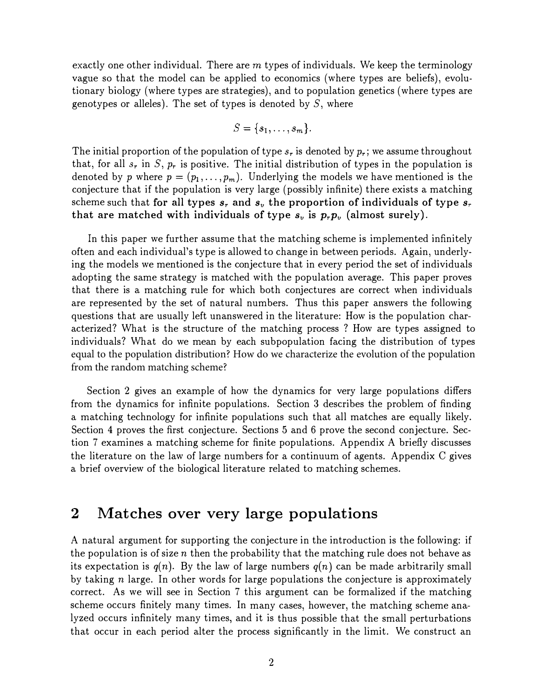exactly one other individual. There are  $m$  types of individuals. We keep the terminology vague so that the model can be applied to economics (where types are beliefs), evolutionary biology (where types are strategies), and to population genetics (where types are genotypes or alleles). The set of types is denoted by  $S$ , where

$$
S = \{s_1, \ldots, s_m\}.
$$

The initial proportion of the population of type  $s_r$  is denoted by  $p_r$ ; we assume throughout that, for all  $s_r$  in S,  $p_r$  is positive. The initial distribution of types in the population is denoted by p where  $p = (p_1, \ldots, p_m)$ . Underlying the models we have mentioned is the conjecture that if the population is very large (possibly infinite) there exists a matching scheme such that for all types  $s_r$  and  $s_v$  the proportion of individuals of type  $s_r$ that are matched with individuals of type  $s_v$  is  $p_r p_v$  (almost surely).

In this paper we further assume that the matching scheme is implemented infinitely often and each individual's type is allowed to change in between periods. Again, underlying the models we mentioned is the conjecture that in every period the set of individuals adopting the same strategy is matched with the population average. This paper proves that there is a matching rule for which both conjectures are correct when individuals are represented by the set of natural numbers. Thus this paper answers the following questions that are usually left unanswered in the literature: How is the population characterized? What is the structure of the matching process ? How are types assigned to individuals? What do we mean by each subpopulation facing the distribution of types equal to the population distribution? How do we characterize the evolution of the population from the random matching scheme?

> Section 2 gives an example of how the dynamics for very large populations differs from the dynamics for infinite populations. Section 3 describes the problem of finding a matching technology for infinite populations such that all matches are equally likely. Section 4 proves the first conjecture. Sections 5 and 6 prove the second conjecture. Section 7 examines a matching scheme for finite populations. Appendix A briefly discusses the literature on the law of large numbers for a continuum of agents. Appendix C gives a brief overview of the biological literature related to matching schemes.

### 2 Matches over very large populations

A natural argument for supporting the conjecture in the introduction is the following: if the population is of size n then the probability that the matching rule does not behave as its expectation is  $q(n)$ . By the law of large numbers  $q(n)$  can be made arbitrarily small by taking  $n$  large. In other words for large populations the conjecture is approximately correct. As we will see in Section 7 this argument can be formalized if the matching scheme occurs finitely many times. In many cases, however, the matching scheme analyzed occurs infinitely many times, and it is thus possible that the small perturbations that occur in each period alter the process significantly in the limit. We construct an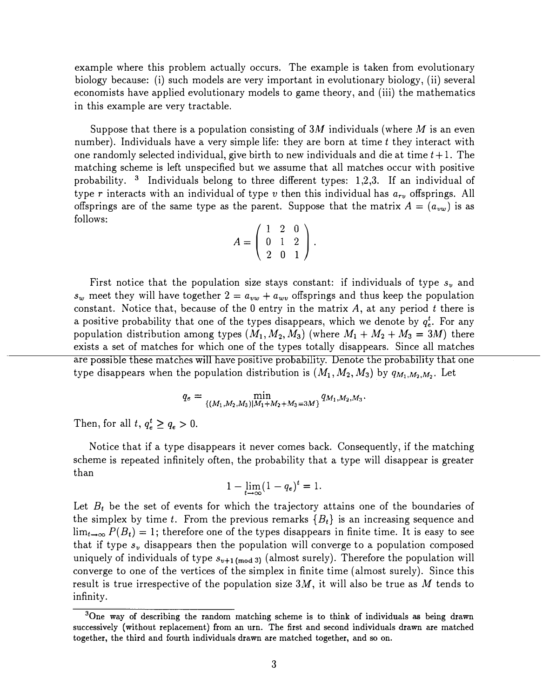example where this problem actually occurs. The example is taken from evolutionary biology because: (i) such models are very important in evolutionary biology, (ii) several economists have applied evolutionary models to game theory, and (iii) the mathematics in this example are very tractable.

Suppose that there is a population consisting of 3M individuals (where M is an even number). Individuals have a very simple life: they are born at time  $t$  they interact with one randomly selected individual, give birth to new individuals and die at time  $t+1$ . The matching scheme is left unspecified but we assume that all matches occur with positive probability. 3 Individuals belong to three different types: 1,2,3. If an individual of type r interacts with an individual of type v then this individual has  $a_{rv}$  offsprings. All offsprings are of the same type as the parent. Suppose that the matrix  $A = (a_{vw})$  is as follows:

$$
A = \left(\begin{array}{rrr} 1 & 2 & 0 \\ 0 & 1 & 2 \\ 2 & 0 & 1 \end{array}\right).
$$

First notice that the population size stays constant: if individuals of type  $s_y$  and  $s_w$  meet they will have together  $2 = a_{vw} + a_{wv}$  offsprings and thus keep the population constant. Notice that, because of the 0 entry in the matrix  $A$ , at any period t there is a positive probability that one of the types disappears, which we denote by  $q_i^t$ . For any population distribution among types  $(M_1, M_2, M_3)$  (where  $M_1 + M_2 + M_3 = 3M$ ) there exists a set of matches for which one of the types totally disappears. Since all matches are possible these matches will have positive probability. Denote the probability that one type disappears when the population distribution is  $(M_1, M_2, M_3)$  by  $q_{M_1, M_2, M_2}$ . Let

$$
q_e = \min_{\{(M_1,M_2,M_3)|M_1+M_2+M_3=3M\}} q_{M_1,M_2,M_3}.
$$

Then, for all  $t, q_e^t \geq q_e > 0$ .

Notice that if a type disappears it never comes back. Consequently, if the matching scheme is repeated infinitely often, the probability that a type will disappear is greater than

$$
1-\lim_{t\to\infty}(1-q_e)^t=1.
$$

Let  $B_t$  be the set of events for which the trajectory attains one of the boundaries of the simplex by time t. From the previous remarks  ${B<sub>t</sub>}$  is an increasing sequence and  $\lim_{t\to\infty} P(B_t) = 1$ ; therefore one of the types disappears in finite time. It is easy to see that if type  $s_v$  disappears then the population will converge to a population composed uniquely of individuals of type  $s_{v+1 \text{(mod 3)}}$  (almost surely). Therefore the population will converge to one of the vertices of the simplex in finite time (almost surely). Since this result is true irrespective of the population size  $3M$ , it will also be true as M tends to infinity.

 $3$ One way of describing the random matching scheme is to think of individuals as being drawn successively (without replacement) from an urn. The first and second individuals drawn are matched together, the third and fourth individuals drawn are matched together, and so on.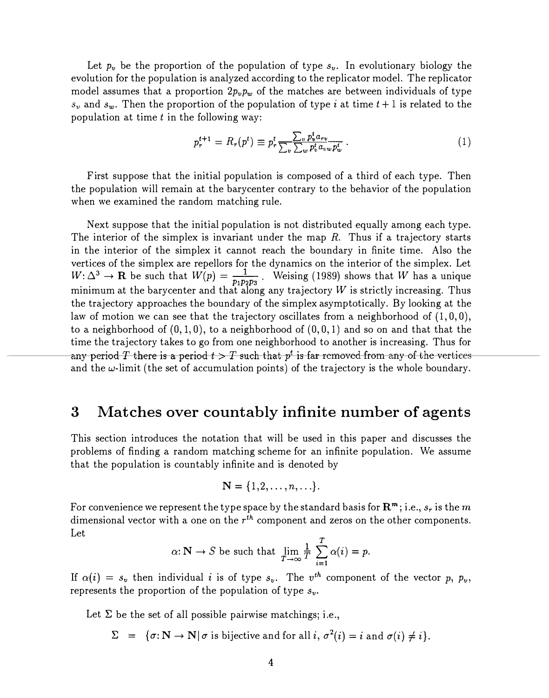Let  $p_v$  be the proportion of the population of type  $s_v$ . In evolutionary biology the evolution for the population is analyzed according to the replicator model. The replicator model assumes that a proportion  $2p_vp_w$  of the matches are between individuals of type  $s_v$  and  $s_w$ . Then the proportion of the population of type i at time  $t+1$  is related to the population at time  $t$  in the following way:

$$
p_r^{t+1} = R_r(p^t) \equiv p_r^t \frac{\sum_v p_v^t a_{rv}}{\sum_w p_v^t a_{vw} p_w^t} \,. \tag{1}
$$

First suppose that the initial population is composed of a third of each type. Then the population will remain at the barycenter contrary to the behavior of the population when we examined the random matching rule.

Next suppose that the initial population is not distributed equally among each type. The interior of the simplex is invariant under the map  $R$ . Thus if a trajectory starts in the interior of the simplex it cannot reach the boundary in finite time. Also the vertices of the simplex are repellors for the dynamics on the interior of the simplex. Let  $W: \Delta^3 \to \mathbf{R}$  be such that  $W(p) = \frac{1}{p_1 p_2 p_3}$ . Weising (1989) shows that W has a unique  $P_1P_2P_3$  minimum at the barycenter and that along any trajectory W is strictly increasing. Thus the trajectory approaches the boundary of the simplex asymptotically. By looking at the law of motion we can see that the trajectory oscillates from a neighborhood of  $(1,0,0)$ , to a neighborhood of  $(0, 1, 0)$ , to a neighborhood of  $(0, 0, 1)$  and so on and that that the any period T there is a period  $t > T$  such that  $p^t$  is far removed from any of the vertices time the trajectory takes to go from one neighborhood to another is increasing. Thus for and the  $\omega$ -limit (the set of accumulation points) of the trajectory is the whole boundary.

### 3 Matches over countably infinite number of agents

This section introduces the notation that will be used in this paper and discusses the problems of finding a random matching scheme for an infinite population. We assume that the population is countably infinite and is denoted by

$$
\mathbf{N} = \{1,2,\ldots,n,\ldots\}.
$$

For convenience we represent the type space by the standard basis for  $\mathbb{R}^m$ ; i.e.,  $s_r$  is the m dimensional vector with a one on the  $r^{th}$  component and zeros on the other components. Let

$$
\alpha: \mathbb{N} \to S
$$
 be such that  $\lim_{T \to \infty} \frac{1}{T} \sum_{i=1}^{T} \alpha(i) = p$ .

If  $\alpha(i) = s_{ij}$  then individual i is of type  $s_{ij}$ . The  $v^{th}$  component of the vector p,  $p_{ij}$ , represents the proportion of the population of type  $s_v$ .

Let  $\Sigma$  be the set of all possible pairwise matchings; i.e.,

 $\Sigma = {\sigma : \mathbb{N} \to \mathbb{N} \mid \sigma \text{ is bijective and for all } i, \sigma^2(i) = i \text{ and } \sigma(i) \neq i}.$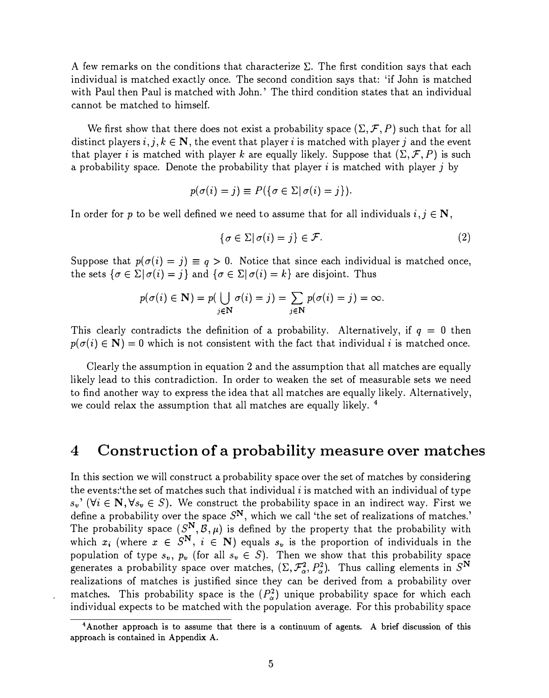A few remarks on the conditions that characterize  $\Sigma$ . The first condition says that each individual is matched exactly once. The second condition says that: 'if John is matched with Paul then Paul is matched with John.' The third condition states that an individual cannot be matched to himself.

We first show that there does not exist a probability space  $(\Sigma, \mathcal{F}, P)$  such that for all distinct players i, j,  $k \in \mathbb{N}$ , the event that player i is matched with player j and the event that player i is matched with player k are equally likely. Suppose that  $(\Sigma, \mathcal{F}, P)$  is such a probability space. Denote the probability that player  $i$  is matched with player  $j$  by

$$
p(\sigma(i) = j) \equiv P(\{\sigma \in \Sigma | \sigma(i) = j\}).
$$

In order for p to be well defined we need to assume that for all individuals  $i, j \in \mathbb{N}$ ,

$$
\{\sigma \in \Sigma | \sigma(i) = j\} \in \mathcal{F}.\tag{2}
$$

Suppose that  $p(\sigma(i) = j) \equiv q > 0$ . Notice that since each individual is matched once, the sets  $\{\sigma \in \Sigma | \sigma(i) = j\}$  and  $\{\sigma \in \Sigma | \sigma(i) = k\}$  are disjoint. Thus

$$
p(\sigma(i) \in \mathbf{N}) = p(\bigcup_{j \in \mathbf{N}} \sigma(i) = j) = \sum_{j \in \mathbf{N}} p(\sigma(i) = j) = \infty.
$$

This clearly contradicts the definition of a probability. Alternatively, if  $q = 0$  then  $p(\sigma(i) \in \mathbb{N}) = 0$  which is not consistent with the fact that individual i is matched once.

Clearly the assumption in equation 2 and the assumption that all matches are equally likely lead to this contradiction. In order to weaken the set of measurable sets we need to find another way to express the idea that all matches are equally likely. Alternatively, we could relax the assumption that all matches are equally likely. 4

#### 4 Construction of a probability measure over matches

In this section we will construct a probability space over the set of matches by considering the events: the set of matches such that individual  $i$  is matched with an individual of type  $s_v'$  ( $\forall i \in \mathbb{N}, \forall s_v \in S$ ). We construct the probability space in an indirect way. First we define a probability over the space  $S^N$ , which we call 'the set of realizations of matches.' The probability space  $(S^N, \mathcal{B}, \mu)$  is defined by the property that the probability with which  $x_i$  (where  $x \in S^N$ ,  $i \in N$ ) equals  $s_v$  is the proportion of individuals in the population of type  $s_v$ ,  $p_v$  (for all  $s_v \in S$ ). Then we show that this probability space generates a probability space over matches,  $(\Sigma, \mathcal{F}_{\alpha}^2, P_{\alpha}^2)$ . Thus calling elements in S<sup>N</sup> realizations of matches is justified since they can be derived from a probability over matches. This probability space is the  $(P_{\alpha}^{2})$  unique probability space for which each individual expects to be matched with the population average. For this probability space

<sup>4</sup>Another approach is to assume that there is a continuum of agents. A brief discussion of this approach is contained in Appendix A.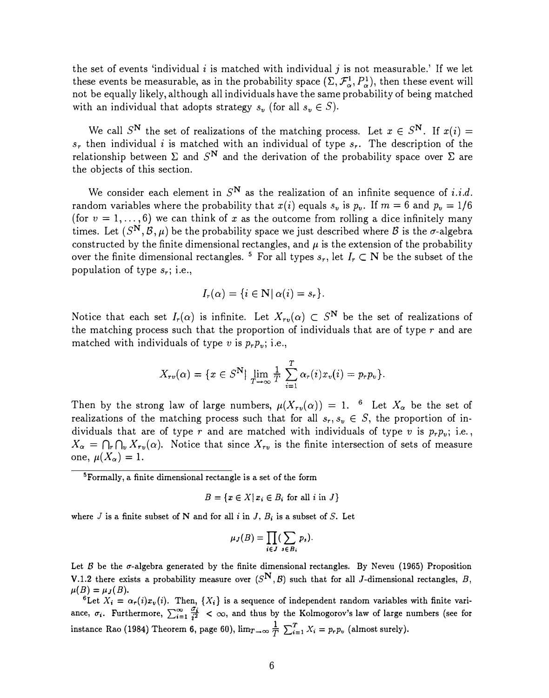the set of events 'individual i is matched with individual j is not measurable.' If we let these events be measurable, as in the probability space  $(\Sigma, \mathcal{F}_{\alpha}^1, P_{\alpha}^1)$ , then these event will not be equally likely, although all individuals have the same probability of being matched with an individual that adopts strategy  $s_v$  (for all  $s_v \in S$ ).

We call  $S^N$  the set of realizations of the matching process. Let  $x \in S^N$ . If  $x(i) =$  $s_r$  then individual *i* is matched with an individual of type  $s_r$ . The description of the relationship between  $\Sigma$  and  $S^N$  and the derivation of the probability space over  $\Sigma$  are the objects of this section.

We consider each element in  $S^N$  as the realization of an infinite sequence of *i.i.d.* random variables where the probability that  $x(i)$  equals  $s_v$  is  $p_v$ . If  $m = 6$  and  $p_v = 1/6$ (for  $v = 1, \ldots, 6$ ) we can think of x as the outcome from rolling a dice infinitely many times. Let  $(S^{\mathbf{N}}, \mathcal{B}, \mu)$  be the probability space we just described where  $\mathcal{B}$  is the  $\sigma$ -algebra constructed by the finite dimensional rectangles, and  $\mu$  is the extension of the probability over the finite dimensional rectangles.<sup>5</sup> For all types  $s_r$ , let  $I_r \subset N$  be the subset of the population of type  $s_r$ ; i.e.,

$$
I_r(\alpha) = \{i \in \mathbb{N} \mid \alpha(i) = s_r\}.
$$

Notice that each set  $I_r(\alpha)$  is infinite. Let  $X_{r(v)}(\alpha) \subset S^N$  be the set of realizations of the matching process such that the proportion of individuals that are of type  $r$  and are matched with individuals of type v is  $p_r p_v$ ; i.e.,

$$
X_{rv}(\alpha) = \{x \in S^{\mathbf{N}}| \ \lim_{T \to \infty} \frac{1}{T} \sum_{i=1}^{T} \alpha_r(i) x_v(i) = p_r p_v \}.
$$

Then by the strong law of large numbers,  $\mu(X_{rv}(\alpha)) = 1$ . <sup>6</sup> Let  $X_{\alpha}$  be the set of realizations of the matching process such that for all  $s_r, s_v \in S$ , the proportion of individuals that are of type r and are matched with individuals of type v is  $p_r p_v$ ; i.e.,  $X_{\alpha} = \bigcap_{r} \bigcap_{v} X_{r_v}(\alpha)$ . Notice that since  $X_{r_v}$  is the finite intersection of sets of measure one,  $\mu(X_{\alpha}) = 1$ .

5Formally, a finite dimensional rectangle is a set of the form

$$
B = \{x \in X | x_i \in B_i \text{ for all } i \text{ in } J\}
$$

where  $J$  is a finite subset of N and for all  $i$  in  $J$ ,  $B_i$  is a subset of S. Let

$$
\mu_J(B)=\prod_{i\in J}(\sum_{s\in B_i}p_s).
$$

Let  $\beta$  be the  $\sigma$ -algebra generated by the finite dimensional rectangles. By Neveu (1965) Proposition V.1.2 there exists a probability measure over  $(S^N, \mathcal{B})$  such that for all J-dimensional rectangles, B,  $\mu(B) = \mu_J(B).$ 

<sup>6</sup>Let  $X_i = \alpha_r(i)x_v(i)$ . Then,  $\{X_i\}$  is a sequence of independent random variables with finite variance,  $\sigma_i$ . Furthermore,  $\sum_{i=1}^{\infty} \frac{\sigma_i}{i^2} < \infty$ , and thus by the Kolmogorov's law of large numbers (see for instance Rao (1984) Theorem 6, page 60),  $\lim_{T\to\infty} \frac{1}{T} \sum_{i=1}^{T} X_i = p_r p_v$  (almost surely).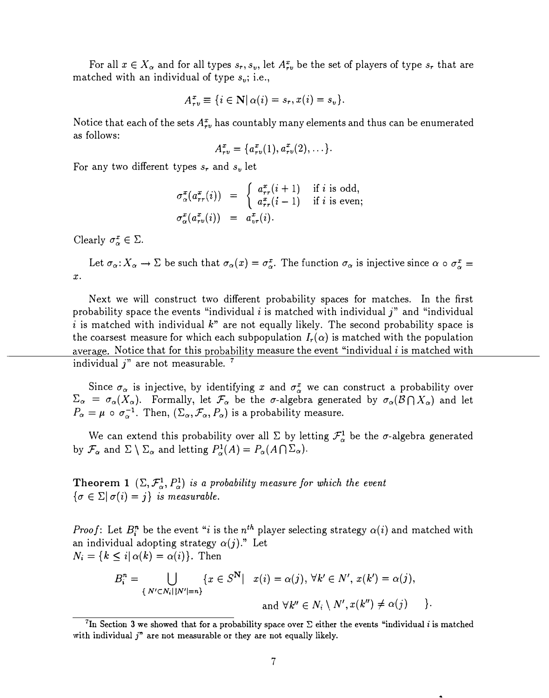For all  $x \in X_\alpha$  and for all types  $s_r, s_v$ , let  $A_{rv}^x$  be the set of players of type  $s_r$  that are matched with an individual of type  $s_v$ ; i.e.,

$$
A_{\tau v}^x \equiv \{i \in \mathbf{N} | \alpha(i) = s_{\tau}, x(i) = s_v\}.
$$

Notice that each of the sets  $A_{\tau v}^x$  has countably many elements and thus can be enumerated as follows:

$$
A_{rv}^x = \{a_{rv}^x(1), a_{rv}^x(2), \ldots\}.
$$

For any two different types  $s_r$  and  $s_v$  let

$$
\sigma^x_{\alpha}(a^x_{rr}(i)) = \begin{cases} a^x_{rr}(i+1) & \text{if } i \text{ is odd,} \\ a^x_{rr}(i-1) & \text{if } i \text{ is even;} \end{cases}
$$

$$
\sigma^x_{\alpha}(a^x_{rv}(i)) = a^x_{vr}(i).
$$

Clearly  $\sigma_{\alpha}^{x} \in \Sigma$ .

Let  $\sigma_{\alpha}: X_{\alpha} \to \Sigma$  be such that  $\sigma_{\alpha}(x) = \sigma_{\alpha}^{x}$ . The function  $\sigma_{\alpha}$  is injective since  $\alpha \circ \sigma_{\alpha}^{x} =$ x.

Next we will construct two different probability spaces for matches. In the first probability space the events "individual i is matched with individual  $j$ " and "individual i is matched with individual  $k^{\prime\prime}$  are not equally likely. The second probability space is the coarsest measure for which each subpopulation  $I_r(\alpha)$  is matched with the population average. Notice that for this probability measure the event "individual  $i$  is matched with individual  $j$ " are not measurable.  $7$ 

Since  $\sigma_{\alpha}$  is injective, by identifying x and  $\sigma_{\alpha}^{x}$  we can construct a probability over  $\Sigma_{\alpha} = \sigma_{\alpha}(X_{\alpha})$ . Formally, let  $\mathcal{F}_{\alpha}$  be the  $\sigma$ -algebra generated by  $\sigma_{\alpha}(\mathcal{B} \cap X_{\alpha})$  and let  $P_{\alpha} = \mu \circ \sigma_{\alpha}^{-1}$ . Then,  $(\Sigma_{\alpha}, \mathcal{F}_{\alpha}, P_{\alpha})$  is a probability measure.

We can extend this probability over all  $\Sigma$  by letting  $\mathcal{F}_{\alpha}^1$  be the  $\sigma$ -algebra generated by  $\mathcal{F}_{\alpha}$  and  $\Sigma \setminus \Sigma_{\alpha}$  and letting  $P_{\alpha}^1(A) = P_{\alpha}(A \cap \Sigma_{\alpha})$ .

**Theorem 1**  $(\Sigma, \mathcal{F}_{\alpha}^1, P_{\alpha}^1)$  is a probability measure for which the event  $\{\sigma \in \Sigma | \sigma(i) = j\}$  is measurable.

*Proof*: Let  $B_i^n$  be the event "*i* is the  $n^{th}$  player selecting strategy  $\alpha(i)$  and matched with an individual adopting strategy  $\alpha(j)$ ." Let  $N_i = \{k \leq i | \alpha(k) = \alpha(i) \}$ . Then

$$
B_i^n = \bigcup_{\{N' \subset N_i \mid |N'|=n\}} \{x \in S^{\mathbf{N}} \mid x(i) = \alpha(j), \forall k' \in N', x(k') = \alpha(j),
$$
  
and  $\forall k'' \in N_i \setminus N', x(k'') \neq \alpha(j)$  \n}

<sup>&</sup>lt;sup>7</sup>In Section 3 we showed that for a probability space over  $\Sigma$  either the events "individual *i* is matched with individual  $j$ " are not measurable or they are not equally likely.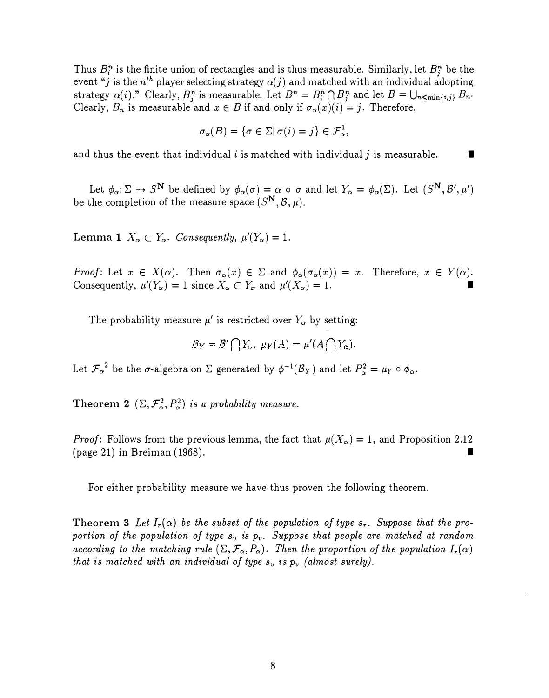Thus  $B_i^n$  is the finite union of rectangles and is thus measurable. Similarly, let  $B_j^n$  be the event " $j$  is the  $n^{th}$  player selecting strategy  $\alpha(j)$  and matched with an individual adopting strategy  $\alpha(i)$ ." Clearly,  $B_j^n$  is measurable. Let  $B^n = B_i^n \cap B_j^n$  and let  $B = \bigcup_{n \leq \min\{i,j\}} B_n$ . Clearly,  $B_n$  is measurable and  $x \in B$  if and only if  $\sigma_\alpha(x)(i) = j$ . Therefore,

$$
\sigma_{\alpha}(B) = \{ \sigma \in \Sigma \mid \sigma(i) = j \} \in \mathcal{F}_{\alpha}^{1},
$$

and thus the event that individual *i* is matched with individual *j* is measurable.

Let  $\phi_\alpha:\Sigma\to S^{\mathbf{N}}$  be defined by  $\phi_\alpha(\sigma)=\alpha$  o  $\sigma$  and let  $Y_\alpha=\phi_\alpha(\Sigma)$ . Let  $(S^{\mathbf{N}},\mathcal{B}',\mu')$ be the completion of the measure space  $(S^{\mathbf{N}},\mathcal{B},\mu).$ 

**Lemma 1**  $X_{\alpha} \subset Y_{\alpha}$ . Consequently,  $\mu'(Y_{\alpha})=1$ .

Proof: Let  $x \in X(\alpha)$ . Then  $\sigma_{\alpha}(x) \in \Sigma$  and  $\phi_{\alpha}(\sigma_{\alpha}(x)) = x$ . Therefore,  $x \in Y(\alpha)$ . Consequently,  $\mu'(Y_\alpha) = 1$  since  $X_\alpha \subset Y_\alpha$  and  $\mu'(X_\alpha) = 1$ . I

The probability measure  $\mu'$  is restricted over  $Y_{\alpha}$  by setting:

$$
\mathcal{B}_Y=\mathcal{B}'\bigcap Y_\alpha,\ \mu_Y(A)=\mu'(A\bigcap Y_\alpha).
$$

Let  $\mathcal{F}_{\alpha}^2$  be the  $\sigma$ -algebra on  $\Sigma$  generated by  $\phi^{-1}(\mathcal{B}_Y)$  and let  $P_{\alpha}^2 = \mu_Y \circ \phi_{\alpha}$ .

Theorem 2  $(\Sigma, \mathcal{F}_{\alpha}^2, P_{\alpha}^2)$  is a probability measure.

*Proof:* Follows from the previous lemma, the fact that  $\mu(X_{\alpha}) = 1$ , and Proposition 2.12 (page 21) in Breiman  $(1968)$ .

For either probability measure we have thus proven the following theorem.

**Theorem 3** Let  $I_r(\alpha)$  be the subset of the population of type  $s_r$ . Suppose that the proportion of the population of type  $s_v$  is  $p_v$ . Suppose that people are matched at random according to the matching rule  $(\Sigma, \mathcal{F}_{\alpha}, P_{\alpha})$ . Then the proportion of the population  $I_r(\alpha)$ that is matched with an individual of type  $s_v$  is  $p_v$  (almost surely).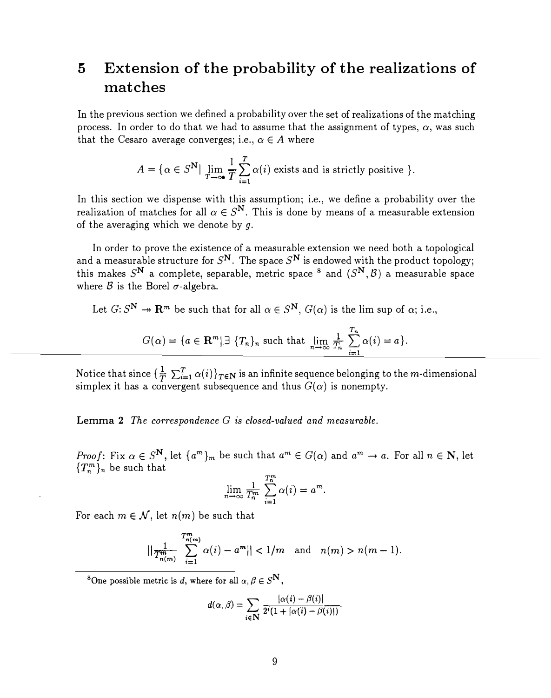## 5 Extension of the probability of the realizations of matches

In the previous section we defined a probability over the set of realizations of the matching process. In order to do that we had to assume that the assignment of types,  $\alpha$ , was such that the Cesaro average converges; i.e.,  $\alpha \in A$  where

$$
A = \{ \alpha \in S^{\mathbf{N}} \mid \lim_{T \to \infty} \frac{1}{T} \sum_{i=1}^{T} \alpha(i) \text{ exists and is strictly positive } \}.
$$

In this section we dispense with this assumption; i.e., we define a probability over the realization of matches for all  $\alpha \in S^N$ . This is done by means of a measurable extension of the averaging which we denote by  $q$ .

In order to prove the existence of a measurable extension we need both a topological and a measurable structure for  $S^N$ . The space  $S^N$  is endowed with the product topology; this makes  $S^N$  a complete, separable, metric space <sup>8</sup> and  $(S^N, \mathcal{B})$  a measurable space where  $\beta$  is the Borel  $\sigma$ -algebra.

Let  $G: S^N \to \mathbb{R}^m$  be such that for all  $\alpha \in S^N$ ,  $G(\alpha)$  is the lim sup of  $\alpha$ ; i.e.,

$$
G(\alpha) = \{a \in \mathbf{R}^m \mid \exists \ \{T_n\}_n \text{ such that } \lim_{n \to \infty} \frac{1}{T_n} \sum_{i=1}^{T_n} \alpha(i) = a\}.
$$

Notice that since  $\{\frac{1}{T}\sum_{i=1}^{T}\alpha(i)\}_{T\in\mathbb{N}}$  is an infinite sequence belonging to the m-dimensional simplex it has a convergent subsequence and thus  $G(\alpha)$  is nonempty.

Lemma 2 The correspondence G is closed-valued and measurable.

*Proof*: Fix  $\alpha \in S^N$ , let  $\{a^m\}_m$  be such that  $a^m \in G(\alpha)$  and  $a^m \to a$ . For all  $n \in \mathbb{N}$ , let  ${T_n^m}_n$  be such that

$$
\lim_{n \to \infty} \frac{1}{T_n^m} \sum_{i=1}^{T_n^m} \alpha(i) = a^m.
$$

For each  $m \in \mathcal{N}$ , let  $n(m)$  be such that

$$
||\frac{1}{T_{n(m)}^m}\sum_{i=1}^{T_{n(m)}^m}\alpha(i)-a^m||<1/m\quad\text{and}\quad n(m)>n(m-1).
$$

<sup>8</sup>One possible metric is d, where for all  $\alpha, \beta \in S^{\mathbf{N}}$ .

$$
d(\alpha,\beta)=\sum_{i\in\mathbf{N}}\frac{|\alpha(i)-\beta(i)|}{2^i(1+|\alpha(i)-\beta(i)|)}.
$$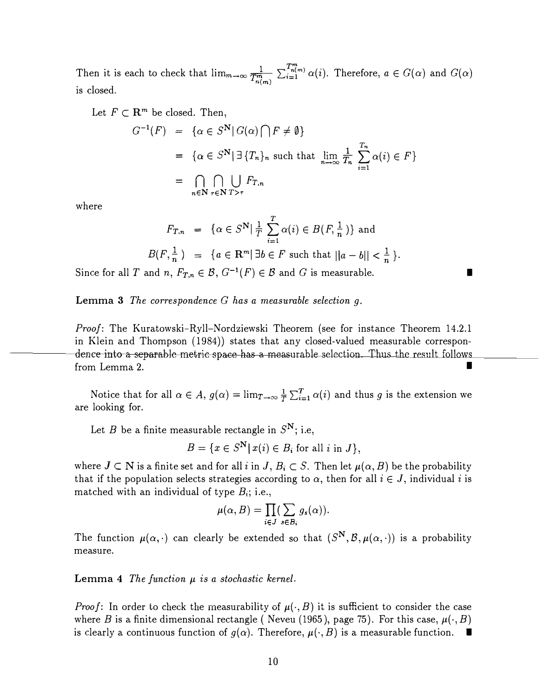$\frac{1}{\sqrt{\sum_{n=1}^{m} n!}}$ Then it is each to check that  $\lim_{m\to\infty} \frac{1}{T_{n(m)}^m} \sum_{i=1}^{T_{n(m)}^m} \alpha(i)$ . Therefore,  $a \in G(\alpha)$  and  $G(\alpha)$ is closed.

Let  $F \subset \mathbb{R}^m$  be closed. Then,

$$
G^{-1}(F) = \{ \alpha \in S^{\mathbf{N}} | G(\alpha) \cap F \neq \emptyset \}
$$
  
=  $\{ \alpha \in S^{\mathbf{N}} | \exists \{T_n\}_n \text{ such that } \lim_{n \to \infty} \frac{1}{T_n} \sum_{i=1}^{T_n} \alpha(i) \in F \}$   
=  $\bigcap_{n \in \mathbf{N}} \bigcap_{\tau \in \mathbf{N}} \bigcup_{T > \tau} F_{T,n}$ 

where

$$
F_{T,n} = \{ \alpha \in S^{\mathbf{N}} | \frac{1}{T} \sum_{i=1}^{T} \alpha(i) \in B(F, \frac{1}{n}) \} \text{ and}
$$
  

$$
B(F, \frac{1}{n}) = \{ a \in \mathbf{R}^m | \exists b \in F \text{ such that } ||a - b|| < \frac{1}{n} \}.
$$

I

Since for all T and n,  $F_{T,n} \in \mathcal{B}$ ,  $G^{-1}(F) \in \mathcal{B}$  and G is measurable.

Lemma  $3$  The correspondence  $G$  has a measurable selection  $q$ .

Proof: The Kuratowski-Ryll-Nordziewski Theorem (see for instance Theorem 14.2.1) dence into a separable metric space has a measurable selection. Thus the result follows in Klein and Thompson (1984)) states that any closed-valued measurable corresponfrom Lemma 2.

> Notice that for all  $\alpha \in A$ ,  $g(\alpha) = \lim_{T \to \infty} \frac{1}{T} \sum_{i=1}^{T} \alpha(i)$  and thus g is the extension we are looking for.

Let B be a finite measurable rectangle in  $S^N$ ; i.e,

 $B = \{x \in S^{\mathbf{N}} | x(i) \in B_i \text{ for all } i \text{ in } J\},\$ 

where  $J \subset N$  is a finite set and for all i in  $J, B_i \subset S$ . Then let  $\mu(\alpha, B)$  be the probability that if the population selects strategies according to  $\alpha$ , then for all  $i \in J$ , individual i is matched with an individual of type  $B_i$ ; i.e.,

$$
\mu(\alpha, B) = \prod_{i \in J} (\sum_{s \in B_i} g_s(\alpha)).
$$

The function  $\mu(\alpha, \cdot)$  can clearly be extended so that  $(S^N, \mathcal{B}, \mu(\alpha, \cdot))$  is a probability measure.

**Lemma 4** The function  $\mu$  is a stochastic kernel.

*Proof*: In order to check the measurability of  $\mu(\cdot, B)$  it is sufficient to consider the case where B is a finite dimensional rectangle (Neveu (1965), page 75). For this case,  $\mu(\cdot, B)$ is clearly a continuous function of  $g(\alpha)$ . Therefore,  $\mu(\cdot, B)$  is a measurable function.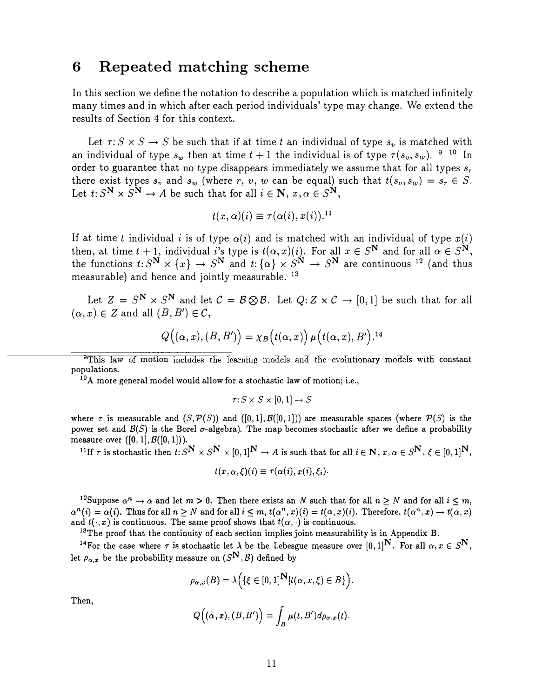#### 6 Repeated matching scheme

In this section we define the notation to describe a population which is matched infinitely many times and in which after each period individuals' type may change. We extend the results of Section 4 for this context.

Let  $\tau: S \times S \rightarrow S$  be such that if at time t an individual of type  $s<sub>v</sub>$  is matched with an individual of type  $s_w$  then at time  $t + 1$  the individual is of type  $\tau(s_v, s_w)$ . <sup>9</sup> <sup>10</sup> In order to guarantee that no type disappears immediately we assume that for all types  $s_r$ there exist types  $s_v$  and  $s_w$  (where r, v, w can be equal) such that  $t(s_v,s_w) = s_r \in S$ . Let  $t: S^N \times S^N \to A$  be such that for all  $i \in \mathbb{N}, x, \alpha \in S^N$ ,

$$
t(x,\alpha)(i)\equiv \tau(\alpha(i),x(i)).^{11}
$$

If at time t individual i is of type  $\alpha(i)$  and is matched with an individual of type  $x(i)$ then, at time  $t + 1$ , individual i's type is  $t(\alpha, x)(i)$ . For all  $x \in S^N$  and for all  $\alpha \in S^N$ , the functions  $t: S^N \times \{x\} \to S^N$  and  $t: \{\alpha\} \times S^N \to S^N$  are continuous <sup>12</sup> (and thus measurable) and hence and jointly measurable. <sup>13</sup>

Let  $Z = S^N \times S^N$  and let  $C = B \otimes B$ . Let  $Q: Z \times C \rightarrow [0,1]$  be such that for all  $(\alpha, x) \in Z$  and all  $(B, B') \in \mathcal{C}$ ,

$$
Q((\alpha, x), (B, B')) = \chi_B(t(\alpha, x)) \mu(t(\alpha, x), B').^{14}
$$

<sup>9</sup>This law of motion includes the learning models and the evolutionary models with constant populations.

 $10$ A more general model would allow for a stochastic law of motion; i.e.,

$$
\tau\colon S\times S\times [0,1]\to S
$$

where  $\tau$  is measurable and  $(S, \mathcal{P}(S))$  and  $([0, 1], \mathcal{B}([0, 1]))$  are measurable spaces (where  $\mathcal{P}(S)$  is the power set and  $\mathcal{B}(S)$  is the Borel  $\sigma$ -algebra). The map becomes stochastic after we define a probability measure over  $([0, 1], B([0, 1]).$ 

<sup>11</sup>If r is stochastic then  $t: S^N \times S^N \times [0,1]^N \to A$  is such that for all  $i \in N$ ,  $x, \alpha \in S^N$ ,  $\xi \in [0,1]^N$ ,

$$
t(x,\alpha,\xi)(i)\equiv \tau(\alpha(i),x(i),\xi_i).
$$

<sup>12</sup>Suppose  $\alpha^n \to \alpha$  and let  $m > 0$ . Then there exists an N such that for all  $n \geq N$  and for all  $i \leq m$ , Suppose  $\alpha \to \alpha$  and fet  $m > 0$ . Then there exists an N such that for an  $n \ge N$  and for all  $i \le m$ ,<br>  $\alpha^n(i) = \alpha(i)$ . Thus for all  $n \ge N$  and for all  $i \le m$ ,  $t(\alpha^n, x)(i) = t(\alpha, x)(i)$ . Therefore,  $t(\alpha^n, x) \to t(\alpha, x)$ and  $t(\cdot, x)$  is continuous. The same proof shows that  $t(\alpha, \cdot)$  is continuous.

<sup>13</sup>The proof that the continuity of each section implies joint measurability is in Appendix B.

<sup>14</sup>For the case where  $\tau$  is stochastic let  $\lambda$  be the Lebesgue measure over  $[0, 1]^N$ . For all  $\alpha, x \in S^N$ , let  $\rho_{\alpha,x}$  be the probability measure on  $(S^{\mathbf{N}}, \mathcal{B})$  defined by

$$
\rho_{\alpha,x}(B)=\lambda\Big(\{\xi\in[0,1]^{\mathbf{N}}|t(\alpha,x,\xi)\in B\}\Big).
$$

Then,

$$
Q\big((\alpha,\pmb{x}),(B,B')\big)=\int_B\mu(t,B')d\rho_{\alpha,\pmb{x}}(t).
$$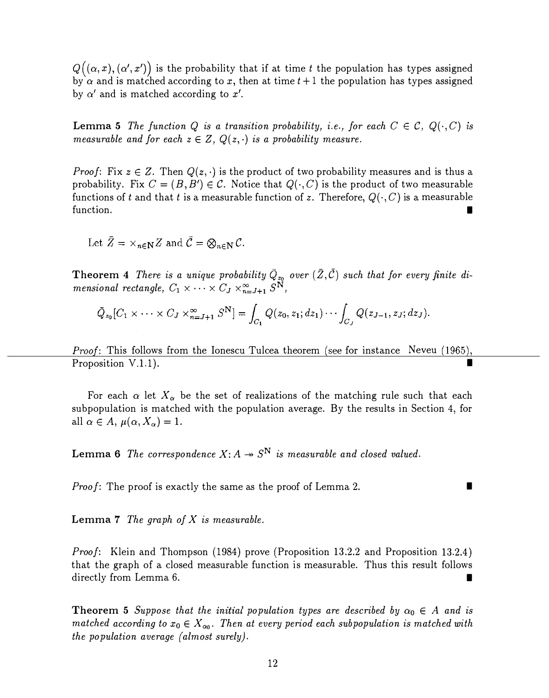$Q\Bigl( (\alpha,x), (\alpha',x$ ' )) is the probability that if at time  $t$  the population has types assigned by  $\alpha$  and is matched according to x, then at time  $t+1$  the population has types assigned by  $\alpha'$  and is matched according to  $x'$ .

**Lemma 5** The function Q is a transition probability, i.e., for each  $C \in \mathcal{C}$ ,  $Q(\cdot, C)$  is measurable and for each  $z \in Z$ ,  $Q(z, \cdot)$  is a probability measure.

*Proof*: Fix  $z \in Z$ . Then  $Q(z, \cdot)$  is the product of two probability measures and is thus a probability. Fix  $C = (B, B') \in \mathcal{C}$ . Notice that  $Q(\cdot, C)$  is the product of two measurable functions of t and that t is a measurable function of z. Therefore,  $Q(\cdot, C)$  is a measurable function.

Let  $\bar{Z} = \times_{n \in \mathbb{N}} Z$  and  $\bar{C} = \otimes_{n \in \mathbb{N}} C$ .

**Theorem 4** There is a unique probability  $\overline{Q}_{z_0}$  over  $(\overline{Z}, \overline{C})$  such that for every finite di-**Theorem 4** There is a unique probability  $Q_{\mathbf{z}_0}$  mensional rectangle,  $C_1 \times \cdots \times C_J \times_{n=J+1}^{\infty} S^{\mathbf{N}},$ 

$$
\overline{Q}_{z_0}[C_1\times\cdots\times C_J\times_{n=J+1}^{\infty} S^{\mathbf{N}}]=\int_{C_1}Q(z_0,z_1;dz_1)\cdots\int_{C_J}Q(z_{J-1},z_J;dz_J).
$$

Proof: This follows from the Ionescu Tulcea theorem (see for instance Neveu (1965), *Proposition V.1.1*).

For each  $\alpha$  let  $X_{\alpha}$  be the set of realizations of the matching rule such that each subpopulation is matched with the population average. By the results in Section 4, for all  $\alpha \in A$ ,  $\mu(\alpha, X_{\alpha}) = 1$ .

**Lemma 6** The correspondence  $X: A \rightarrow S^N$  is measurable and closed valued.

Proof: The proof is exactly the same as the proof of Lemma 2.

**Lemma 7** The graph of  $X$  is measurable.

Proof: Klein and Thompson (1984) prove (Proposition 13.2.2 and Proposition 13.2.4) that the graph of a closed measurable function is measurable. Thus this result follows directly from Lemma 6.

**Theorem 5** Suppose that the initial population types are described by  $\alpha_0 \in A$  and is matched according to  $x_0 \in X_{\alpha_0}$ . Then at every period each subpopulation is matched with the population average (almost surely).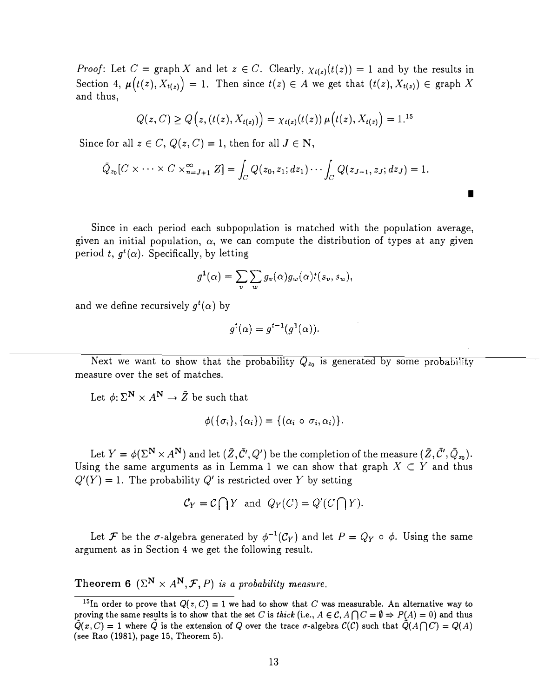Proof: Let C = graph X and let  $z \in C$ . Clearly,  $\chi_{t(z)}(t(z)) = 1$  and by the results in Section 4,  $\mu(t(z), X_{t(z)}) = 1$ . Then since  $t(z) \in A$  we get that  $(t(z), X_{t(z)}) \in \text{graph } X$ and thus,

$$
Q(z, C) \ge Q(z, (t(z), X_{t(z)})) = \chi_{t(z)}(t(z)) \mu(t(z), X_{t(z)}) = 1^{15}
$$

Since for all  $z \in C$ ,  $Q(z, C) = 1$ , then for all  $J \in \mathbb{N}$ ,

$$
\overline{Q}_{z_0}[C \times \cdots \times C \times_{n=J+1}^{\infty} Z] = \int_C Q(z_0, z_1; dz_1) \cdots \int_C Q(z_{J-1}, z_J; dz_J) = 1.
$$

Since in each period each subpopulation is matched with the population average, given an initial population,  $\alpha$ , we can compute the distribution of types at any given period t,  $q^{t}(\alpha)$ . Specifically, by letting

I

$$
g^{1}(\alpha) = \sum_{v} \sum_{w} g_{v}(\alpha) g_{w}(\alpha) t(s_{v}, s_{w}),
$$

and we define recursively  $g^t(\alpha)$  by

$$
g^t(\alpha) = g^{t-1}(g^1(\alpha)).
$$

Next we want to show that the probability  $\tilde{Q}_{z_0}$  is generated by some probability measure over the set of matches.

Let  $\phi: \Sigma^{\mathbf{N}} \times A^{\mathbf{N}} \to \bar{Z}$  be such that

$$
\phi(\{\sigma_i\},\{\alpha_i\})=\{(\alpha_i\circ\sigma_i,\alpha_i)\}.
$$

Let  $Y = \phi(\Sigma^{\mathbf{N}} \times A^{\mathbf{N}})$  and let  $(\overline{Z}, \overline{C'}, Q')$  be the completion of the measure  $(\overline{Z}, \overline{C'}, \overline{Q}_{z_0})$ . Using the same arguments as in Lemma 1 we can show that graph  $X \subset Y$  and thus  $Q'(Y) = 1$ . The probability Q' is restricted over Y by setting

$$
C_Y = C \bigcap Y
$$
 and  $Q_Y(C) = Q'(C \bigcap Y)$ .

Let F be the  $\sigma$ -algebra generated by  $\phi^{-1}(\mathcal{C}_Y)$  and let  $P = Q_Y \circ \phi$ . Using the same argument as in Section 4 we get the following result.

Theorem 6 ( $\Sigma^N \times A^N$ ,  $\mathcal{F}, P$ ) is a probability measure.

<sup>&</sup>lt;sup>15</sup>In order to prove that  $Q(z, C) = 1$  we had to show that C was measurable. An alternative way to proving the same results is to show that the set C is thick (i.e.,  $A \in \mathcal{C}$ ,  $A \cap C = \emptyset \Rightarrow P(A) = 0$ ) and thus  $\overline{Q}(x,C) = 1$  where  $\overline{Q}$  is the extension of Q over the trace  $\sigma$ -algebra  $\mathcal{C}(\mathcal{C})$  such that  $\overline{Q}(A\cap C) = Q(A)$ (see Rao (1981), page 15, Theorem 5).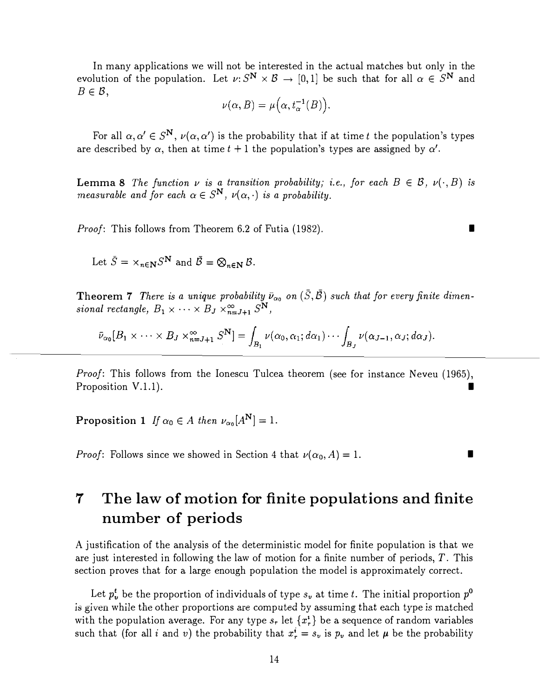In many applications we will not be interested in the actual matches but only in the evolution of the population. Let  $\nu: S^N \times B \to [0,1]$  be such that for all  $\alpha \in S^N$  and  $B \in \mathcal{B}$ ,

$$
\nu(\alpha, B) = \mu(\alpha, t_{\alpha}^{-1}(B)).
$$

For all  $\alpha, \alpha' \in S^{\mathbf{N}}$ ,  $\nu(\alpha, \alpha')$  is the probability that if at time t the population's types are described by  $\alpha$ , then at time  $t + 1$  the population's types are assigned by  $\alpha'$ .

**Lemma 8** The function  $\nu$  is a transition probability; i.e., for each  $B \in \mathcal{B}$ ,  $\nu(\cdot, B)$  is measurable and for each  $\alpha \in S^{\mathbf{N}}$ ,  $\nu(\alpha, \cdot)$  is a probability.

Proof: This follows from Theorem 6.2 of Futia (1982).

Let  $\bar{S} = \times_{n \in \mathbb{N}} S^{\mathbb{N}}$  and  $\bar{B} = \bigotimes_{n \in \mathbb{N}} B$ .

**Theorem 7** There is a unique probability  $\bar{\nu}_{\alpha_0}$  on  $(\bar{S}, \bar{B})$  such that for every finite dimensional rectangle,  $B_1 \times \cdots \times B_J \times_{n=J+1}^{\infty} S^N$ ,

$$
\bar{\nu}_{\alpha_0}[B_1 \times \cdots \times B_J \times_{n=J+1}^{\infty} S^{\mathbf{N}}] = \int_{B_1} \nu(\alpha_0, \alpha_1; d\alpha_1) \cdots \int_{B_J} \nu(\alpha_{J-1}, \alpha_J; d\alpha_J).
$$

Proof: This follows from the Ionescu Tulcea theorem (see for instance Neveu (1965), Proposition V.1.1). I

Proposition 1 If  $\alpha_0 \in A$  then  $\nu_{\alpha_0}[A^N] = 1$ .

*Proof*: Follows since we showed in Section 4 that  $\nu(\alpha_0, A) = 1$ .

# 7 The law of motion for finite populations and finite number of periods

A justification of the analysis of the deterministic model for finite population is that we are just interested in following the law of motion for a finite number of periods, T. This section proves that for a large enough population the model is approximately correct.

Let  $p_v^t$  be the proportion of individuals of type  $s_v$  at time t. The initial proportion  $p^0$ is given while the other proportions are computed by assuming that each type is matched with the population average. For any type  $s_r$  let  $\{x_r^*\}$  be a sequence of random variables such that (for all i and v) the probability that  $x^i = s_v$  is  $p_v$  and let  $\mu$  be the probability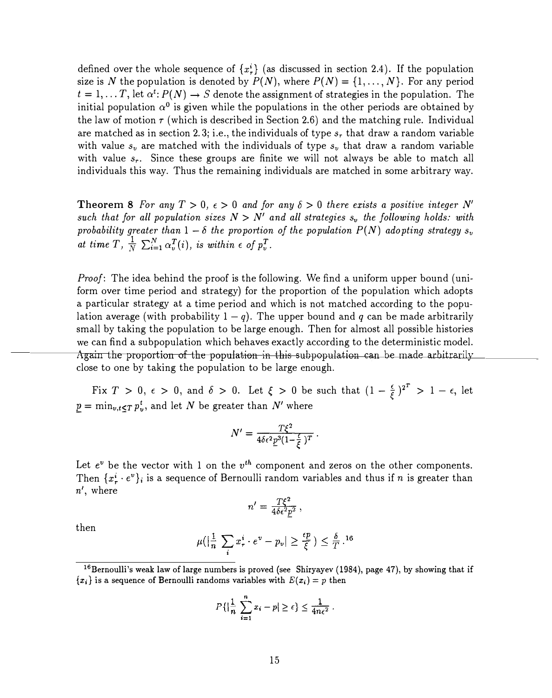defined over the whole sequence of  $\{x^i\}$  (as discussed in section 2.4). If the population size is N the population is denoted by  $P(N)$ , where  $P(N) = \{1, \ldots, N\}$ . For any period  $t = 1, \ldots T$ , let  $\alpha^t: P(N) \to S$  denote the assignment of strategies in the population. The initial population  $\alpha^0$  is given while the populations in the other periods are obtained by the law of motion  $\tau$  (which is described in Section 2.6) and the matching rule. Individual are matched as in section 2.3; i.e., the individuals of type  $s_r$  that draw a random variable with value  $s_v$  are matched with the individuals of type  $s_v$  that draw a random variable with value  $s_r$ . Since these groups are finite we will not always be able to match all individuals this way. Thus the remaining individuals are matched in some arbitrary way.

**Theorem 8** For any  $T > 0$ ,  $\epsilon > 0$  and for any  $\delta > 0$  there exists a positive integer N' such that for all population sizes  $N > N'$  and all strategies  $s_v$  the following holds: with probability greater than  $1 - \delta$  the proportion of the population  $P(N)$  adopting strategy  $s_v$ at time T,  $\frac{1}{N} \sum_{i=1}^{N} \alpha_v^T(i)$ , is within  $\epsilon$  of  $p_v^T$ .

Proof: The idea behind the proof is the following. We find a uniform upper bound (uniform over time period and strategy) for the proportion of the population which adopts a particular strategy at a time period and which is not matched according to the population average (with probability  $1 - q$ ). The upper bound and q can be made arbitrarily small by taking the population to be large enough. Then for almost all possible histories Again the proportion of the population in this subpopulation can be made arbitrarily  $\qquad \qquad \qquad \qquad$ we can find a subpopulation which behaves exactly according to the deterministic model. close to one by taking the population to be large enough.

Fix  $T > 0$ ,  $\epsilon > 0$ , and  $\delta > 0$ . Let  $\xi > 0$  be such that  $(1 - \frac{\epsilon}{\xi})^{2^T} > 1 - \epsilon$ , let  $\underline{p} = \min_{v,t \leq T} p_v^t$ , and let N be greater than N' where

$$
N'=\frac{T\xi^2}{4\delta\epsilon^2\varrho^3(1-\frac{\epsilon}{\xi})^T}.
$$

Let  $e^v$  be the vector with 1 on the  $v^{th}$  component and zeros on the other components. Then  $\{x_r^i \cdot e^v\}_i$  is a sequence of Bernoulli random variables and thus if n is greater than n', where

$$
n'=\frac{T\xi^2}{4\delta\epsilon^2 p^2}\,,
$$

then

$$
\mu(|\frac{1}{n}\sum_{i} x_{r}^{i} \cdot e^{v} - p_{v}| \geq \frac{\epsilon p}{\xi}) \leq \frac{\delta}{T} \cdot 16
$$

$$
P\left\{\left|\frac{1}{n}\sum_{i=1}^n x_i - p\right| \geq \epsilon\right\} \leq \frac{1}{4n\epsilon^2}.
$$

<sup>&</sup>lt;sup>16</sup>Bernoulli's weak law of large numbers is proved (see Shiryayev (1984), page 47), by showing that if  ${x_i}$  is a sequence of Bernoulli randoms variables with  $E(x_i) = p$  then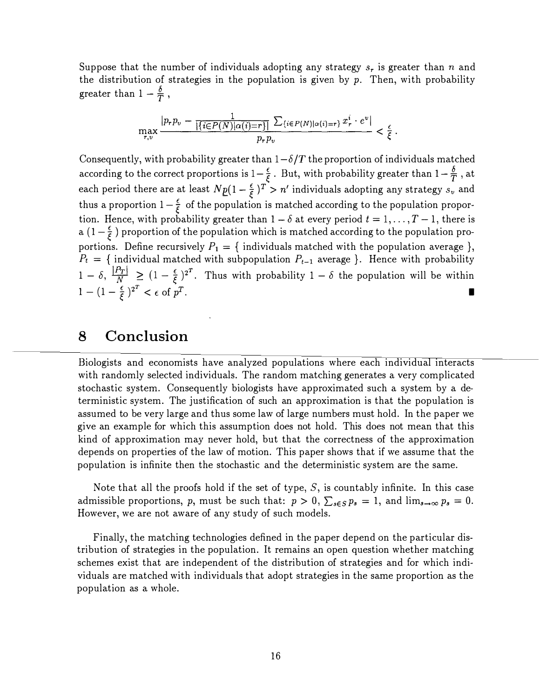Suppose that the number of individuals adopting any strategy  $s_r$  is greater than n and the distribution of strategies in the population is given by  $p$ . Then, with probability greater than  $1 - \frac{\delta}{T}$ ,

$$
\max_{r,v} \frac{|p_r p_v - \frac{1}{|\{i \in P(N) | \alpha(i) = r\}|} \sum_{\{i \in P(N) | \alpha(i) = r\}} x_r^i \cdot e^v|}{p_r p_v} < \frac{\epsilon}{\xi}.
$$

Consequently, with probability greater than  $1-\delta/T$  the proportion of individuals matched according to the correct proportions is  $1-\frac{\epsilon}{\xi}$ . But, with probability greater than  $1-\frac{\delta}{T}$ , at each period there are at least  $N p(1 - \frac{\epsilon}{\xi})^T > n'$  individuals adopting any strategy  $s_v$  and thus a proportion  $1 - \frac{\epsilon}{\xi}$  of the population is matched according to the population proportion. Hence, with probability greater than  $1-\delta$  at every period  $t = 1, \ldots, T-1$ , there is a  $(1-\frac{\epsilon}{\epsilon})$  proportion of the population which is matched according to the population proportions. Define recursively  $P_1 = \{$  individuals matched with the population average  $\},$  $P_t = \{$  individual matched with subpopulation  $P_{t-1}$  average }. Hence with probability  $1-\delta$ ,  $\frac{|P_T|}{N} \ge (1-\frac{\epsilon}{\xi})^{2^T}$ . Thus with probability  $1-\delta$  the population will be within  $1 - (1 - \frac{\epsilon}{\xi})^{2^T} < \epsilon$  of p  $T$ .

## 8 Conclusion

Biologists and economists have analyzed populations where each individual interacts with randomly selected individuals. The random matching generates a very complicated stochastic system. Consequently biologists have approximated such a system by a deterministic system. The justification of such an approximation is that the population is assumed to be very large and thus some law of large numbers must hold. In the paper we give an example for which this assumption does not hold. This does not mean that this kind of approximation may never hold, but that the correctness of the approximation depends on properties of the law of motion. This paper shows that if we assume that the population is infinite then the stochastic and the deterministic system are the same.

Note that all the proofs hold if the set of type,  $S$ , is countably infinite. In this case admissible proportions, p, must be such that:  $p > 0$ ,  $\sum_{s \in S} p_s = 1$ , and  $\lim_{s \to \infty} p_s = 0$ . However, we are not aware of any study of such models.

Finally, the matching technologies defined in the paper depend on the particular distribution of strategies in the population. It remains an open question whether matching schemes exist that are independent of the distribution of strategies and for which individuals are matched with individuals that adopt strategies in the same proportion as the population as a whole.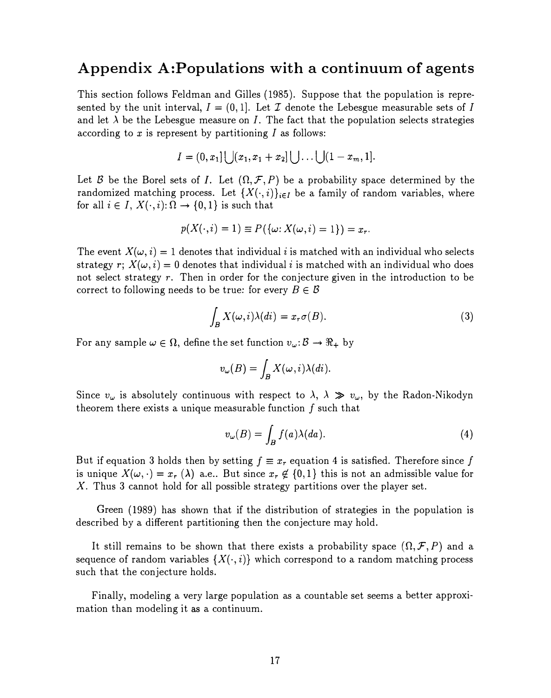## Appendix A:Populations with a continuum of agents

This section follows Feldman and Gilles (1985). Suppose that the population is represented by the unit interval,  $I = (0, 1]$ . Let  $\mathcal I$  denote the Lebesgue measurable sets of I and let  $\lambda$  be the Lebesgue measure on I. The fact that the population selects strategies according to  $x$  is represent by partitioning  $I$  as follows:

$$
I=(0,x_1]\bigcup(x_1,x_1+x_2]\bigcup\ldots\bigcup(1-x_m,1].
$$

Let B be the Borel sets of I. Let  $( \Omega, \mathcal{F}, P)$  be a probability space determined by the randomized matching process. Let  $\{X(\cdot,i)\}_{i\in I}$  be a family of random variables, where for all  $i \in I$ ,  $X(\cdot, i)$ :  $\Omega \to \{0, 1\}$  is such that

$$
p(X(\cdot,i)=1)\equiv P(\{\omega: X(\omega,i)=1\})=x_r.
$$

The event  $X(\omega, i) = 1$  denotes that individual i is matched with an individual who selects strategy r;  $X(\omega, i) = 0$  denotes that individual i is matched with an individual who does not select strategy r. Then in order for the conjecture given in the introduction to be correct to following needs to be true: for every  $B \in \mathcal{B}$ 

$$
\int_{B} X(\omega, i)\lambda(di) = x_{r}\sigma(B). \tag{3}
$$

For any sample  $\omega \in \Omega$ , define the set function  $v_{\omega} : \mathcal{B} \to \mathbb{R}_+$  by

$$
v_{\omega}(B) = \int_B X(\omega, i) \lambda(di).
$$

Since  $v_\omega$  is absolutely continuous with respect to  $\lambda$ ,  $\lambda \gg v_\omega$ , by the Radon-Nikodyn theorem there exists a unique measurable function  $f$  such that

$$
v_{\omega}(B) = \int_B f(a)\lambda(da). \tag{4}
$$

But if equation 3 holds then by setting  $f \equiv x_r$  equation 4 is satisfied. Therefore since f is unique  $X(\omega, \cdot) = x_r (\lambda)$  a.e.. But since  $x_r \notin \{0, 1\}$  this is not an admissible value for X. Thus 3 cannot hold for all possible strategy partitions over the player set.

Green (1989) has shown that if the distribution of strategies in the population is described by a different partitioning then the conjecture may hold.

It still remains to be shown that there exists a probability space  $(\Omega, \mathcal{F}, P)$  and a sequence of random variables  $\{X(\cdot, i)\}$  which correspond to a random matching process such that the conjecture holds.

Finally, modeling a very large population as a countable set seems a better approximation than modeling it as a continuum.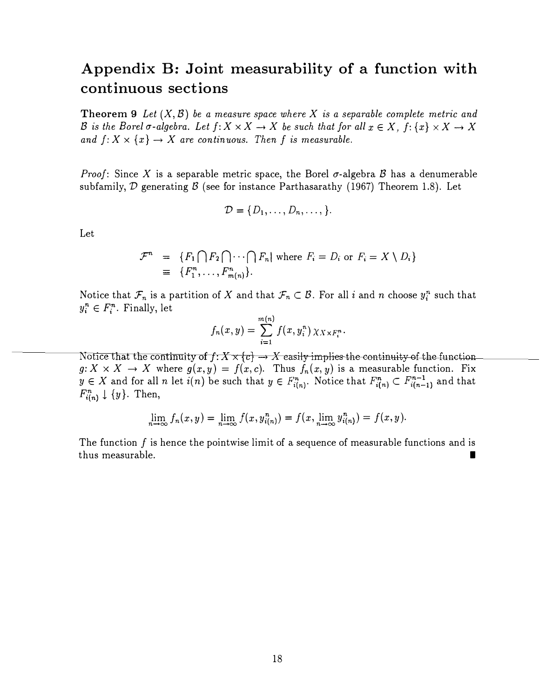## Appendix B: Joint measurability of a function with continuous sections

**Theorem 9** Let  $(X, \mathcal{B})$  be a measure space where X is a separable complete metric and B is the Borel  $\sigma$ -algebra. Let  $f: X \times X \to X$  be such that for all  $x \in X$ ,  $f: \{x\} \times X \to X$ and  $f: X \times \{x\} \rightarrow X$  are continuous. Then f is measurable.

*Proof:* Since X is a separable metric space, the Borel  $\sigma$ -algebra B has a denumerable subfamily,  $D$  generating  $B$  (see for instance Parthasarathy (1967) Theorem 1.8). Let

$$
\mathcal{D} = \{D_1, \ldots, D_n, \ldots, \}.
$$

Let

$$
\mathcal{F}^n = \{F_1 \cap F_2 \cap \cdots \cap F_n | \text{ where } F_i = D_i \text{ or } F_i = X \setminus D_i\}
$$
  
\n
$$
\equiv \{F_1^n, \ldots, F_{m(n)}^n\}.
$$

Notice that  $\mathcal{F}_n$  is a partition of X and that  $\mathcal{F}_n \subset \mathcal{B}$ . For all i and n choose  $y_i^n$  such that  $y_i^n \in F_i^n$ . Finally, let

$$
f_n(x,y)=\sum_{i=1}^{m(n)}f(x,y_i^n)\,\chi_{X\times F_i^n}.
$$

Notice that the continuity of  $f: X \times \{c\} \rightarrow X$  easily implies the continuity of the function  $g: X \times X \to X$  where  $g(x,y) = f(x,c)$ . Thus  $f_n(x,y)$  is a measurable function. Fix  $y \in X$  and for all n let  $i(n)$  be such that  $y \in F_{i(n)}^n$ . Notice that  $F_{i(n)}^n \subset F_{i(n-1)}^{n-1}$  and that  $F_{i(n)}^n \downarrow \{y\}$ . Then,

$$
\lim_{n \to \infty} f_n(x, y) = \lim_{n \to \infty} f(x, y_{i(n)}^n) = f(x, \lim_{n \to \infty} y_{i(n)}^n) = f(x, y).
$$

The function  $f$  is hence the pointwise limit of a sequence of measurable functions and is thus measurable.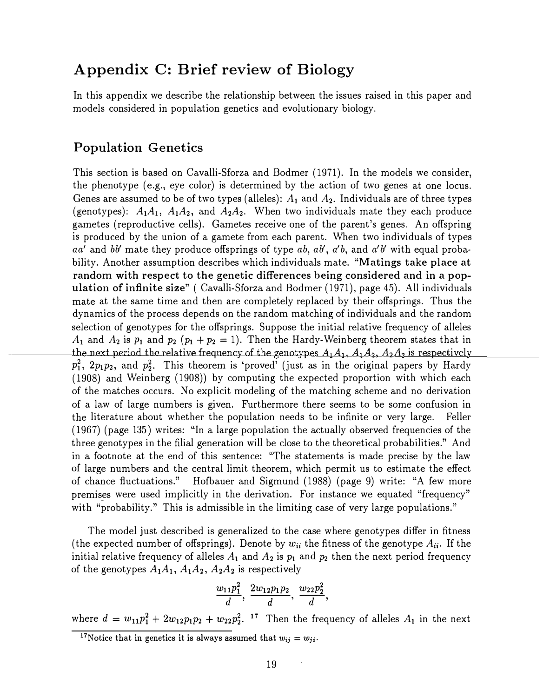## A ppendix C: Brief review of Biology

In this appendix we describe the relationship between the issues raised in this paper and models considered in population genetics and evolutionary biology.

#### Population Genetics

This section is based on Cavalli-Sforza and Bodmer (1971). In the models we consider, the phenotype (e.g., eye color) is determined by the action of two genes at one locus. Genes are assumed to be of two types (alleles):  $A_1$  and  $A_2$ . Individuals are of three types (genotypes):  $A_1A_1$ ,  $A_1A_2$ , and  $A_2A_2$ . When two individuals mate they each produce gametes (reproductive cells). Gametes receive one of the parent's genes. An offspring is produced by the union of a gamete from each parent. When two individuals of types aa' and bb' mate they produce offsprings of type ab,  $ab'$ ,  $a'b$ , and  $a'b'$  with equal probability. Another assumption describes which individuals mate. "Matings take place at random with respect to the genetic differences being considered and in a population of infinite size" ( Cavalli-Sforza and Bodmer (1971), page 45). All individuals mate at the same time and then are completely replaced by their offsprings. Thus the dynamics of the process depends on the random matching of individuals and the random selection of genotypes for the offsprings. Suppose the initial relative frequency of alleles  $A_1$  and  $A_2$  is  $p_1$  and  $p_2$   $(p_1 + p_2 = 1)$ . Then the Hardy-Weinberg theorem states that in the next period the relative frequency of the genotypes  $A_1A_1$ ,  $A_1A_2$ ,  $A_2A_2$  is respectively  $p_1^2$ ,  $2p_1p_2$ , and  $p_2^2$ . This theorem is 'proved' (just as in the original papers by Hardy (1908) and Weinberg (1908)) by computing the expected proportion with which each of the matches occurs. No explicit modeling of the matching scheme and no derivation of a law of large numbers is given. Furthermore there seems to be some confusion in the literature about whether the population needs to be infinite or very large. Feller (1967) (page 135) writes: "In a large population the actually observed frequencies of the three genotypes in the filial generation will be close to the theoretical probabilities." And in a footnote at the end of this sentence: "The statements is made precise by the law of large numbers and the central limit theorem, which permit us to estimate the effect of chance fluctuations." Hofbauer and Sigmund (1988) (page 9) write: "A few more premises were used implicitly in the derivation. For instance we equated "frequency" with "probability." This is admissible in the limiting case of very large populations."

The model just described is generalized to the case where genotypes differ in fitness (the expected number of offsprings). Denote by  $w_{ii}$  the fitness of the genotype  $A_{ii}$ . If the initial relative frequency of alleles  $A_1$  and  $A_2$  is  $p_1$  and  $p_2$  then the next period frequency of the genotypes  $A_1A_1$ ,  $A_1A_2$ ,  $A_2A_2$  is respectively

$$
\frac{w_{11}p_1^2}{d},\,\frac{2w_{12}p_1p_2}{d},\,\frac{w_{22}p_2^2}{d},
$$

where  $d = w_{11}p_1^2 + 2w_{12}p_1p_2 + w_{22}p_2^2$ . <sup>17</sup> Then the frequency of alleles  $A_1$  in the next

<sup>&</sup>lt;sup>17</sup>Notice that in genetics it is always assumed that  $w_{ij} = w_{ji}$ .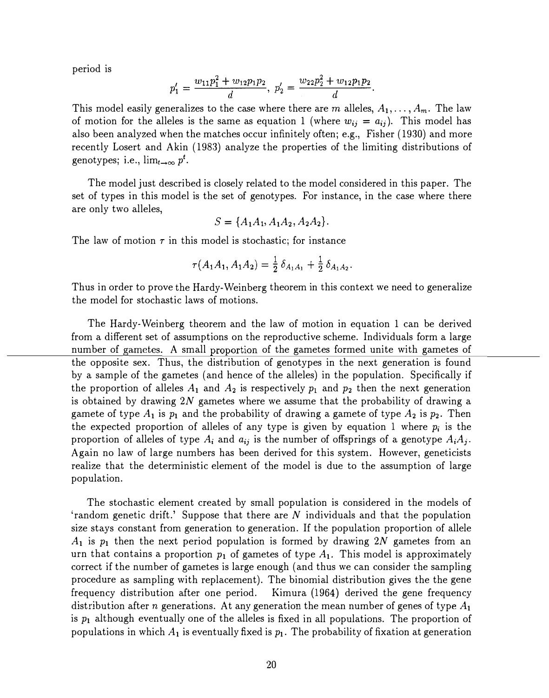period is

$$
p_1'=\frac{w_{11}p_1^2+w_{12}p_1p_2}{d},\ p_2'=\frac{w_{22}p_2^2+w_{12}p_1p_2}{d}.
$$

This model easily generalizes to the case where there are m alleles,  $A_1, \ldots, A_m$ . The law of motion for the alleles is the same as equation 1 (where  $w_{ij} = a_{ij}$ ). This model has also been analyzed when the matches occur infinitely often; e.g., Fisher (1930) and more recently Losert and Akin (1983) analyze the properties of the limiting distributions of genotypes; i.e.,  $\lim_{t\to\infty} p^t$ .

The model just described is closely related to the model considered in this paper. The set of types in this model is the set of genotypes. For instance, in the case where there are only two alleles,

$$
S = \{A_1A_1, A_1A_2, A_2A_2\}.
$$

The law of motion  $\tau$  in this model is stochastic; for instance

$$
\tau(A_1A_1, A_1A_2) = \frac{1}{2} \delta_{A_1A_1} + \frac{1}{2} \delta_{A_1A_2}.
$$

Thus in order to prove the Hardy-Weinberg theorem in this context we need to generalize the model for stochastic laws of motions.

The Hardy-Weinberg theorem and the law of motion in equation 1 can be derived from a different set of assumptions on the reproductive scheme. Individuals form a large number of gametes. A small proportion of the gametes formed unite with gametes of the opposite sex. Thus, the distribution of genotypes in the next generation is found by a sample of the gametes (and hence of the alleles) in the population. Specifically if the proportion of alleles  $A_1$  and  $A_2$  is respectively  $p_1$  and  $p_2$  then the next generation is obtained by drawing 2N gametes where we assume that the probability of drawing a gamete of type  $A_1$  is  $p_1$  and the probability of drawing a gamete of type  $A_2$  is  $p_2$ . Then the expected proportion of alleles of any type is given by equation 1 where  $p_i$  is the proportion of alleles of type  $A_i$  and  $a_{ij}$  is the number of offsprings of a genotype  $A_iA_j$ . Again no law of large numbers has been derived for this system. However, geneticists realize that the deterministic element of the model is due to the assumption of large population.

The stochastic element created by small population is considered in the models of 'random genetic drift.' Suppose that there are  $N$  individuals and that the population size stays constant from generation to generation. If the population proportion of allele  $A_1$  is  $p_1$  then the next period population is formed by drawing 2N gametes from an urn that contains a proportion  $p_1$  of gametes of type  $A_1$ . This model is approximately correct if the number of gametes is large enough (and thus we can consider the sampling procedure as sampling with replacement). The binomial distribution gives the the gene frequency distribution after one period. Kimura (1964) derived the gene frequency distribution after n generations. At any generation the mean number of genes of type  $A_1$ is  $p_1$  although eventually one of the alleles is fixed in all populations. The proportion of populations in which  $A_1$  is eventually fixed is  $p_1$ . The probability of fixation at generation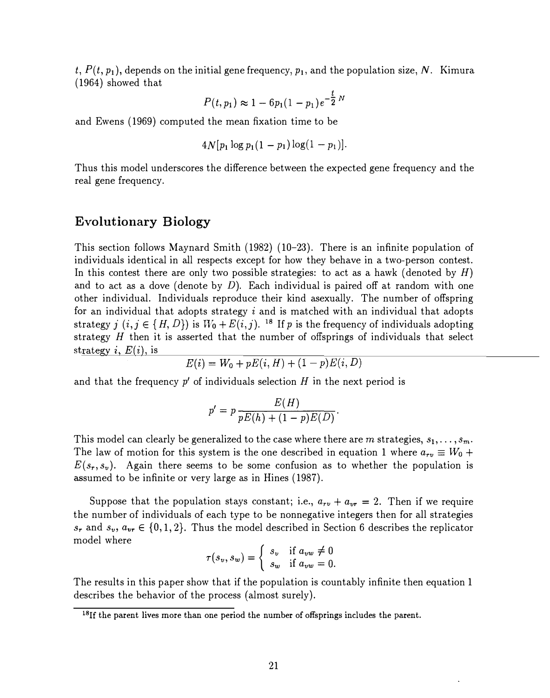$t, P(t, p_1)$ , depends on the initial gene frequency,  $p_1$ , and the population size, N. Kimura ( 1964) showed that

$$
P(t, p_1) \approx 1 - 6p_1(1 - p_1)e^{-\frac{t}{2}N}
$$

and Ewens (1969) computed the mean fixation time to be

$$
4N[p_1\log p_1(1-p_1)\log(1-p_1)].
$$

Thus this model underscores the difference between the expected gene frequency and the real gene frequency.

#### Evolutionary Biology

This section follows Maynard Smith (1982) (10-23). There is an infinite population of individuals identical in all respects except for how they behave in a two-person contest. In this contest there are only two possible strategies: to act as a hawk (denoted by  $H$ ) and to act as a dove (denote by  $D$ ). Each individual is paired off at random with one other individual. Individuals reproduce their kind asexually. The number of offspring for an individual that adopts strategy  $i$  and is matched with an individual that adopts strategy j  $(i, j \in \{H, D\})$  is  $W_0 + E(i, j)$ . <sup>18</sup> If p is the frequency of individuals adopting strategy  $f(x, y \in \{H, D\})$  is  $W_0 + E(x, y)$ . If p is the nequency of individuals adopting<br>strategy H then it is asserted that the number of offsprings of individuals that select strategy *i*,  $E(i)$ , is<br>strategy *i*,  $E(i)$ , is<br> $E(i) = W_0 + pE(i, H) + (1 - p)E(i, D)$ 

$$
E(i) = W_0 + pE(i, H) + (1 - p)E(i, D)
$$

and that the frequency  $p'$  of individuals selection  $H$  in the next period is

$$
p' = p \frac{E(H)}{pE(h) + (1-p)E(D)}.
$$

This model can clearly be generalized to the case where there are m strategies,  $s_1, \ldots, s_m$ . The law of motion for this system is the one described in equation 1 where  $a_{rv} \equiv W_0 +$  $E(s_r, s_v)$ . Again there seems to be some confusion as to whether the population is assumed to be infinite or very large as in Hines (1987).

Suppose that the population stays constant; i.e.,  $a_{rv} + a_{vr} = 2$ . Then if we require the number of individuals of each type to be nonnegative integers then for all strategies  $s_r$  and  $s_v$ ,  $a_{vr} \in \{0, 1, 2\}$ . Thus the model described in Section 6 describes the replicator model where

$$
\tau(s_v, s_w) = \begin{cases} s_v & \text{if } a_{vw} \neq 0 \\ s_w & \text{if } a_{vw} = 0. \end{cases}
$$

The results in this paper show that if the population is countably infinite then equation 1 describes the behavior of the process (almost surely).

<sup>&</sup>lt;sup>18</sup>If the parent lives more than one period the number of offsprings includes the parent.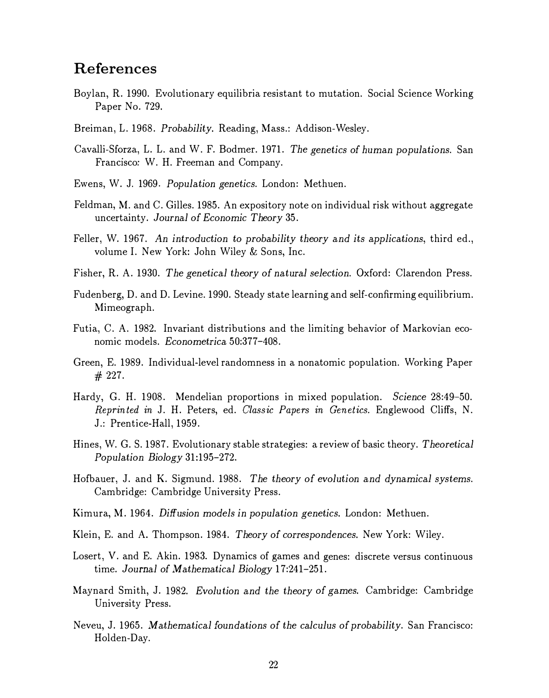### References

- Boylan, R. 1990. Evolutionary equilibria resistant to mutation. Social Science Working Paper No. 729.
- Breiman, L. 1968. Probability. Reading, Mass.: Addison-Wesley.
- Cavalli-Sforza, L. L. and W. F. Bodmer. 1971. The genetics of human populations. San Francisco: W. H. Freeman and Company.
- Ewens, W. J. 1969. Population genetics. London: Methuen.
- Feldman, M. and C. Gilles. 1985. An expository note on individual risk without aggregate uncertainty. Journal of Economic Theory 35.
- Feller, W. 1967. An introduction to probability theory and its applications, third ed., volume I. New York: John Wiley & Sons, Inc.
- Fisher, R. A. 1930. The genetical theory of natural selection. Oxford: Clarendon Press.
- Fudenberg, D. and D. Levine. 1990. Steady state learning and self-confirming equilibrium. Mimeograph.
- Futia, C. A. 1982. Invariant distributions and the limiting behavior of Markovian economic models. Econometrica 50:377-408.
- Green, E. 1989. Individual-level randomness in a nonatomic population. Working Paper # 227.
- Hardy, G. H. 1908. Mendelian proportions in mixed population. Science 28:49-50. Reprinted in J. H. Peters, ed. Classic Papers in Genetics. Englewood Cliffs, N. J.: Prentice-Hall, 1959.
- Hines, W. G. S. 1987. Evolutionary stable strategies: a review of basic theory. Theoretical Population Biology 31:195-272.
- Hofbauer, J. and K. Sigmund. 1988. The theory of evolution and dynamical systems. Cambridge: Cambridge University Press.
- Kimura, M. 1964. Diffusion models in population genetics. London: Methuen.
- Klein, E. and A. Thompson. 1984. Theory of correspondences. New York: Wiley.
- Losert, V. and E. Akin. 1983. Dynamics of games and genes: discrete versus continuous time. Journal of Mathematical Biology 17:241-251.
- Maynard Smith, J. 1982. Evolu tion and the theory of games. Cambridge: Cambridge University Press.
- Neveu, J. 1965. Mathematical foundations of the calculus of probability. San Francisco: Holden-Day.